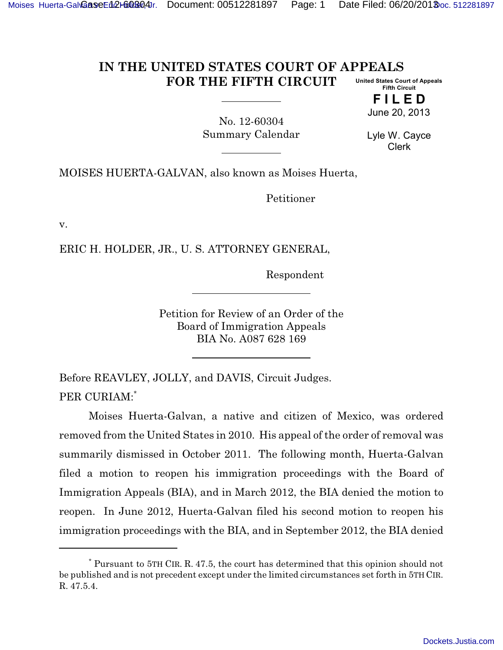## **IN THE UNITED STATES COURT OF APPEALS FOR THE FIFTH CIRCUIT United States Court of Appeals Fifth Circuit**

**F I L E D** June 20, 2013

No. 12-60304 Summary Calendar

Lyle W. Cayce Clerk

MOISES HUERTA-GALVAN, also known as Moises Huerta,

Petitioner

v.

ERIC H. HOLDER, JR., U. S. ATTORNEY GENERAL,

Respondent

Petition for Review of an Order of the Board of Immigration Appeals BIA No. A087 628 169

Before REAVLEY, JOLLY, and DAVIS, Circuit Judges. PER CURIAM:\*

Moises Huerta-Galvan, a native and citizen of Mexico, was ordered removed from the United States in 2010. His appeal of the order of removal was summarily dismissed in October 2011. The following month, Huerta-Galvan filed a motion to reopen his immigration proceedings with the Board of Immigration Appeals (BIA), and in March 2012, the BIA denied the motion to reopen. In June 2012, Huerta-Galvan filed his second motion to reopen his immigration proceedings with the BIA, and in September 2012, the BIA denied

<sup>\*</sup> Pursuant to 5TH CIR. R. 47.5, the court has determined that this opinion should not be published and is not precedent except under the limited circumstances set forth in 5TH CIR. R. 47.5.4.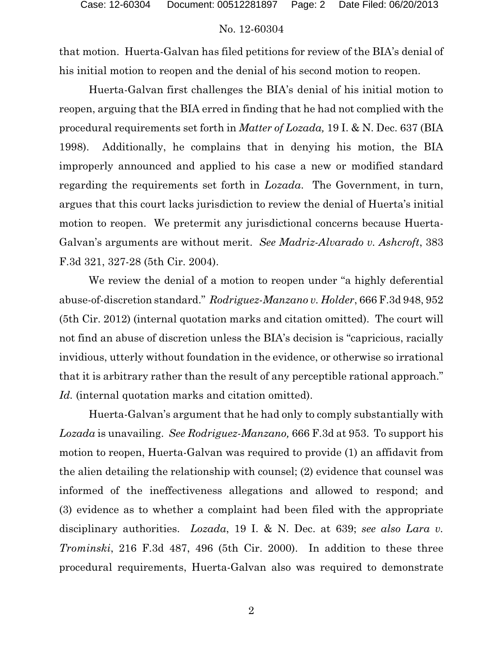## No. 12-60304

that motion. Huerta-Galvan has filed petitions for review of the BIA's denial of his initial motion to reopen and the denial of his second motion to reopen.

Huerta-Galvan first challenges the BIA's denial of his initial motion to reopen, arguing that the BIA erred in finding that he had not complied with the procedural requirements set forth in *Matter of Lozada,* 19 I. & N. Dec. 637 (BIA 1998). Additionally, he complains that in denying his motion, the BIA improperly announced and applied to his case a new or modified standard regarding the requirements set forth in *Lozada*. The Government, in turn, argues that this court lacks jurisdiction to review the denial of Huerta's initial motion to reopen. We pretermit any jurisdictional concerns because Huerta-Galvan's arguments are without merit. *See Madriz-Alvarado v. Ashcroft*, 383 F.3d 321, 327-28 (5th Cir. 2004).

We review the denial of a motion to reopen under "a highly deferential abuse-of-discretion standard." *Rodriguez-Manzano v. Holder*, 666 F.3d 948, 952 (5th Cir. 2012) (internal quotation marks and citation omitted). The court will not find an abuse of discretion unless the BIA's decision is "capricious, racially invidious, utterly without foundation in the evidence, or otherwise so irrational that it is arbitrary rather than the result of any perceptible rational approach." Id. (internal quotation marks and citation omitted).

Huerta-Galvan's argument that he had only to comply substantially with *Lozada* is unavailing. *See Rodriguez-Manzano,* 666 F.3d at 953. To support his motion to reopen, Huerta-Galvan was required to provide (1) an affidavit from the alien detailing the relationship with counsel; (2) evidence that counsel was informed of the ineffectiveness allegations and allowed to respond; and (3) evidence as to whether a complaint had been filed with the appropriate disciplinary authorities. *Lozada*, 19 I. & N. Dec. at 639; *see also Lara v. Trominski*, 216 F.3d 487, 496 (5th Cir. 2000). In addition to these three procedural requirements, Huerta-Galvan also was required to demonstrate